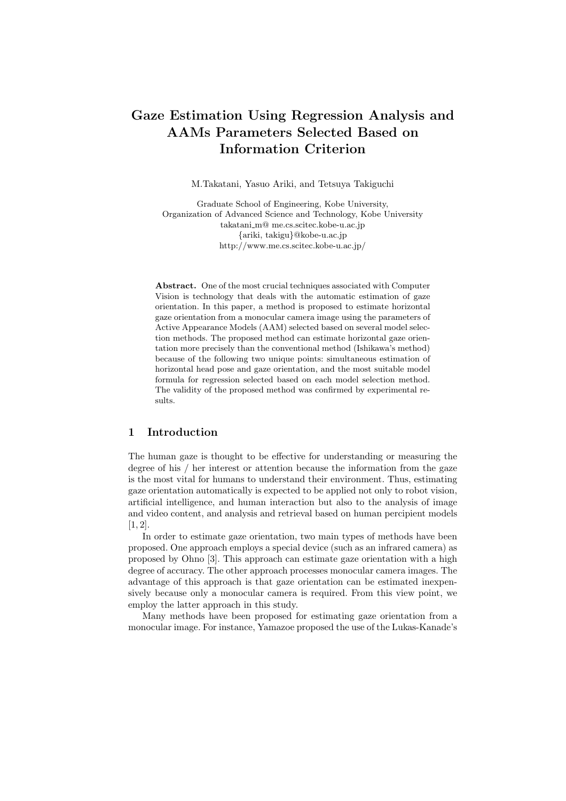# **Gaze Estimation Using Regression Analysis and AAMs Parameters Selected Based on Information Criterion**

M.Takatani, Yasuo Ariki, and Tetsuya Takiguchi

Graduate School of Engineering, Kobe University, Organization of Advanced Science and Technology, Kobe University takatani m@ me.cs.scitec.kobe-u.ac.jp *{*ariki, takigu*}*@kobe-u.ac.jp http://www.me.cs.scitec.kobe-u.ac.jp/

**Abstract.** One of the most crucial techniques associated with Computer Vision is technology that deals with the automatic estimation of gaze orientation. In this paper, a method is proposed to estimate horizontal gaze orientation from a monocular camera image using the parameters of Active Appearance Models (AAM) selected based on several model selection methods. The proposed method can estimate horizontal gaze orientation more precisely than the conventional method (Ishikawa's method) because of the following two unique points: simultaneous estimation of horizontal head pose and gaze orientation, and the most suitable model formula for regression selected based on each model selection method. The validity of the proposed method was confirmed by experimental results.

# **1 Introduction**

The human gaze is thought to be effective for understanding or measuring the degree of his / her interest or attention because the information from the gaze is the most vital for humans to understand their environment. Thus, estimating gaze orientation automatically is expected to be applied not only to robot vision, artificial intelligence, and human interaction but also to the analysis of image and video content, and analysis and retrieval based on human percipient models [1, 2].

In order to estimate gaze orientation, two main types of methods have been proposed. One approach employs a special device (such as an infrared camera) as proposed by Ohno [3]. This approach can estimate gaze orientation with a high degree of accuracy. The other approach processes monocular camera images. The advantage of this approach is that gaze orientation can be estimated inexpensively because only a monocular camera is required. From this view point, we employ the latter approach in this study.

Many methods have been proposed for estimating gaze orientation from a monocular image. For instance, Yamazoe proposed the use of the Lukas-Kanade's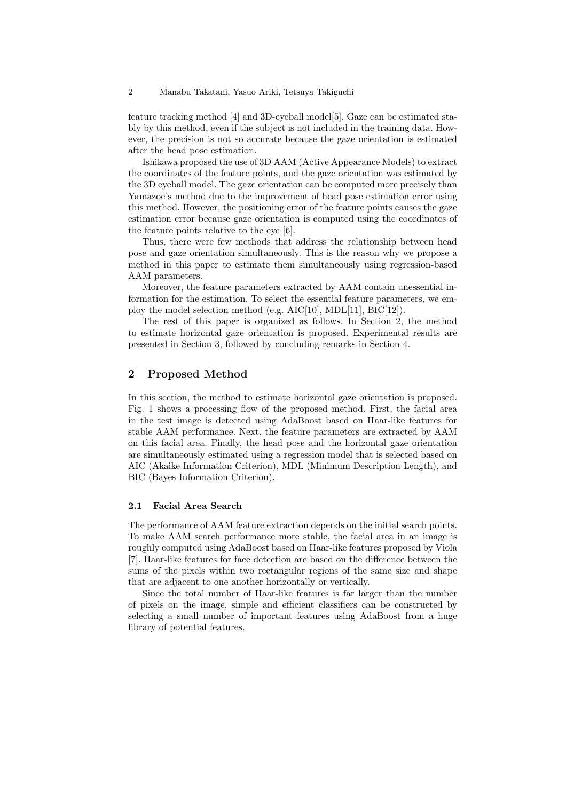### 2 Manabu Takatani, Yasuo Ariki, Tetsuya Takiguchi

feature tracking method [4] and 3D-eyeball model[5]. Gaze can be estimated stably by this method, even if the subject is not included in the training data. However, the precision is not so accurate because the gaze orientation is estimated after the head pose estimation.

Ishikawa proposed the use of 3D AAM (Active Appearance Models) to extract the coordinates of the feature points, and the gaze orientation was estimated by the 3D eyeball model. The gaze orientation can be computed more precisely than Yamazoe's method due to the improvement of head pose estimation error using this method. However, the positioning error of the feature points causes the gaze estimation error because gaze orientation is computed using the coordinates of the feature points relative to the eye [6].

Thus, there were few methods that address the relationship between head pose and gaze orientation simultaneously. This is the reason why we propose a method in this paper to estimate them simultaneously using regression-based AAM parameters.

Moreover, the feature parameters extracted by AAM contain unessential information for the estimation. To select the essential feature parameters, we employ the model selection method (e.g. AIC[10], MDL[11], BIC[12]).

The rest of this paper is organized as follows. In Section 2, the method to estimate horizontal gaze orientation is proposed. Experimental results are presented in Section 3, followed by concluding remarks in Section 4.

# **2 Proposed Method**

In this section, the method to estimate horizontal gaze orientation is proposed. Fig. 1 shows a processing flow of the proposed method. First, the facial area in the test image is detected using AdaBoost based on Haar-like features for stable AAM performance. Next, the feature parameters are extracted by AAM on this facial area. Finally, the head pose and the horizontal gaze orientation are simultaneously estimated using a regression model that is selected based on AIC (Akaike Information Criterion), MDL (Minimum Description Length), and BIC (Bayes Information Criterion).

### **2.1 Facial Area Search**

The performance of AAM feature extraction depends on the initial search points. To make AAM search performance more stable, the facial area in an image is roughly computed using AdaBoost based on Haar-like features proposed by Viola [7]. Haar-like features for face detection are based on the difference between the sums of the pixels within two rectangular regions of the same size and shape that are adjacent to one another horizontally or vertically.

Since the total number of Haar-like features is far larger than the number of pixels on the image, simple and efficient classifiers can be constructed by selecting a small number of important features using AdaBoost from a huge library of potential features.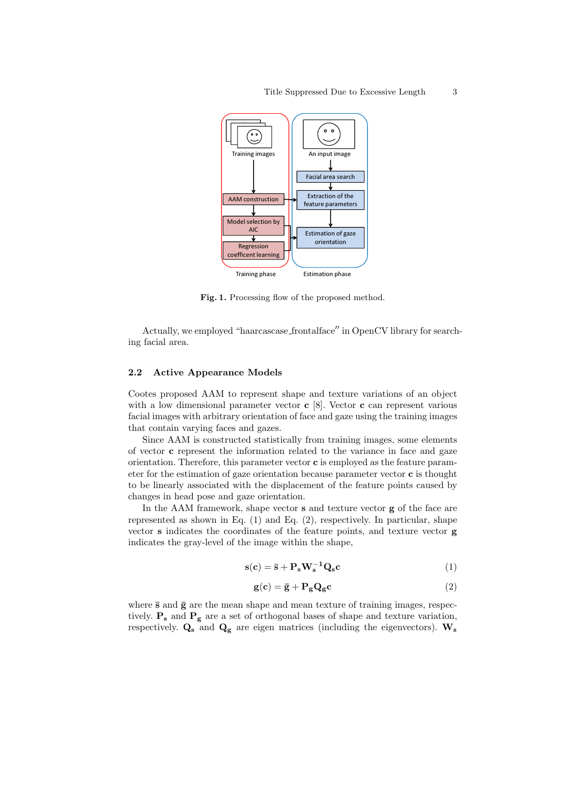

Fig. 1. Processing flow of the proposed method.

Actually, we employed "haarcascase frontalface*′′* in OpenCV library for searching facial area.

### **2.2 Active Appearance Models**

Cootes proposed AAM to represent shape and texture variations of an object with a low dimensional parameter vector **c** [8]. Vector **c** can represent various facial images with arbitrary orientation of face and gaze using the training images that contain varying faces and gazes.

Since AAM is constructed statistically from training images, some elements of vector **c** represent the information related to the variance in face and gaze orientation. Therefore, this parameter vector **c** is employed as the feature parameter for the estimation of gaze orientation because parameter vector **c** is thought to be linearly associated with the displacement of the feature points caused by changes in head pose and gaze orientation.

In the AAM framework, shape vector **s** and texture vector **g** of the face are represented as shown in Eq.  $(1)$  and Eq.  $(2)$ , respectively. In particular, shape vector **s** indicates the coordinates of the feature points, and texture vector **g** indicates the gray-level of the image within the shape,

$$
\mathbf{s}(\mathbf{c}) = \overline{\mathbf{s}} + \mathbf{P}_{\mathbf{s}} \mathbf{W}_{\mathbf{s}}^{-1} \mathbf{Q}_{\mathbf{s}} \mathbf{c}
$$
 (1)

$$
\mathbf{g}(\mathbf{c}) = \bar{\mathbf{g}} + \mathbf{P}_{\mathbf{g}} \mathbf{Q}_{\mathbf{g}} \mathbf{c} \tag{2}
$$

where  $\bar{s}$  and  $\bar{g}$  are the mean shape and mean texture of training images, respectively. **P<sup>s</sup>** and **P<sup>g</sup>** are a set of orthogonal bases of shape and texture variation, respectively. **Q<sup>s</sup>** and **Q<sup>g</sup>** are eigen matrices (including the eigenvectors). **W<sup>s</sup>**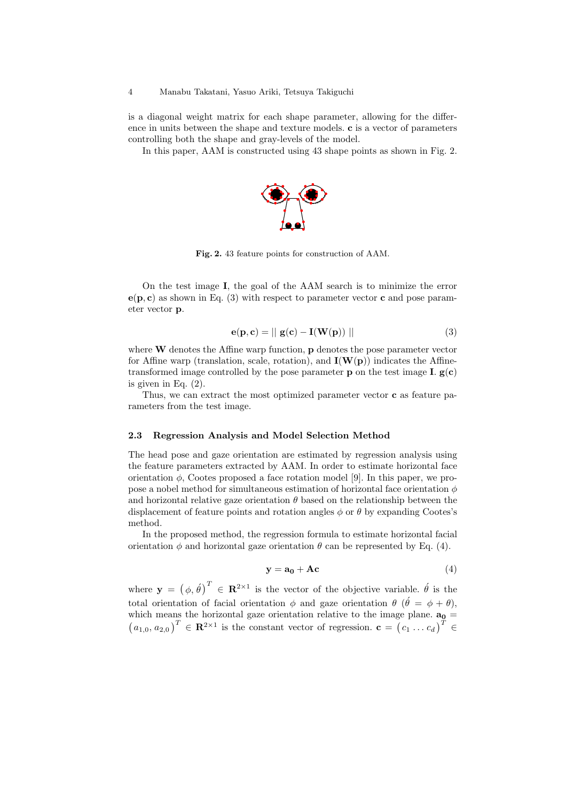is a diagonal weight matrix for each shape parameter, allowing for the difference in units between the shape and texture models. **c** is a vector of parameters controlling both the shape and gray-levels of the model.

In this paper, AAM is constructed using 43 shape points as shown in Fig. 2.



**Fig. 2.** 43 feature points for construction of AAM.

On the test image **I**, the goal of the AAM search is to minimize the error **e**(**p***,* **c**) as shown in Eq. (3) with respect to parameter vector **c** and pose parameter vector **p**.

$$
\mathbf{e}(\mathbf{p}, \mathbf{c}) = ||\mathbf{g}(\mathbf{c}) - \mathbf{I}(\mathbf{W}(\mathbf{p})) || \qquad (3)
$$

where **W** denotes the Affine warp function, **p** denotes the pose parameter vector for Affine warp (translation, scale, rotation), and  $I(W(p))$  indicates the Affinetransformed image controlled by the pose parameter  $p$  on the test image **I**.  $g(c)$ is given in Eq. (2).

Thus, we can extract the most optimized parameter vector **c** as feature parameters from the test image.

### **2.3 Regression Analysis and Model Selection Method**

The head pose and gaze orientation are estimated by regression analysis using the feature parameters extracted by AAM. In order to estimate horizontal face orientation *ϕ*, Cootes proposed a face rotation model [9]. In this paper, we propose a nobel method for simultaneous estimation of horizontal face orientation *ϕ* and horizontal relative gaze orientation  $\theta$  based on the relationship between the displacement of feature points and rotation angles  $\phi$  or  $\theta$  by expanding Cootes's method.

In the proposed method, the regression formula to estimate horizontal facial orientation  $\phi$  and horizontal gaze orientation  $\theta$  can be represented by Eq. (4).

$$
y = a_0 + Ac \tag{4}
$$

where  $\mathbf{y} = (\phi, \dot{\theta})^T \in \mathbb{R}^{2 \times 1}$  is the vector of the objective variable.  $\dot{\theta}$  is the total orientation of facial orientation  $\phi$  and gaze orientation  $\theta$  ( $\dot{\theta} = \phi + \theta$ ), which means the horizontal gaze orientation relative to the image plane.  $\mathbf{a_0}$  =  $(a_{1,0}, a_{2,0})^T \in \mathbb{R}^{2 \times 1}$  is the constant vector of regression.  $\mathbf{c} = (c_1 \dots c_d)^T \in$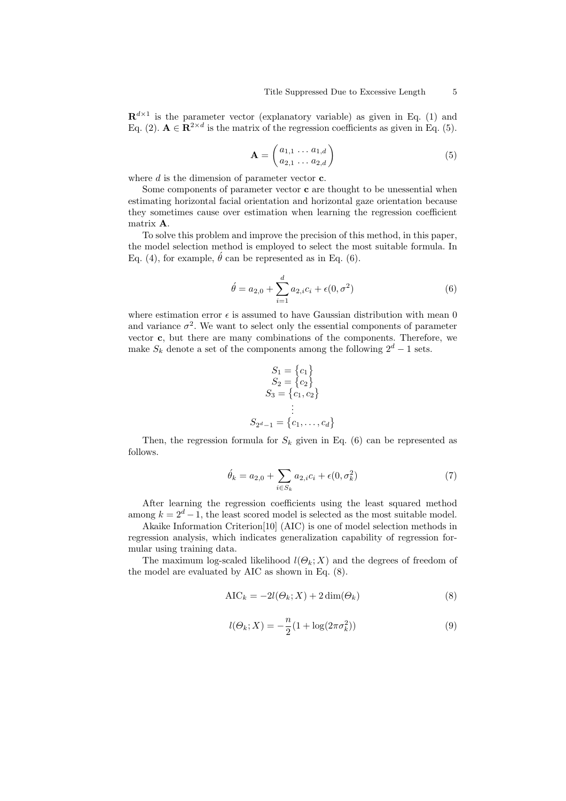$\mathbb{R}^{d\times 1}$  is the parameter vector (explanatory variable) as given in Eq. (1) and Eq. (2).  $\mathbf{A} \in \mathbb{R}^{2 \times d}$  is the matrix of the regression coefficients as given in Eq. (5).

$$
\mathbf{A} = \begin{pmatrix} a_{1,1} & \dots & a_{1,d} \\ a_{2,1} & \dots & a_{2,d} \end{pmatrix} \tag{5}
$$

where *d* is the dimension of parameter vector **c**.

Some components of parameter vector **c** are thought to be unessential when estimating horizontal facial orientation and horizontal gaze orientation because they sometimes cause over estimation when learning the regression coefficient matrix **A**.

To solve this problem and improve the precision of this method, in this paper, the model selection method is employed to select the most suitable formula. In Eq. (4), for example,  $\hat{\theta}$  can be represented as in Eq. (6).

$$
\acute{\theta} = a_{2,0} + \sum_{i=1}^{d} a_{2,i} c_i + \epsilon(0, \sigma^2)
$$
\n(6)

where estimation error  $\epsilon$  is assumed to have Gaussian distribution with mean 0 and variance  $\sigma^2$ . We want to select only the essential components of parameter vector **c**, but there are many combinations of the components. Therefore, we make  $S_k$  denote a set of the components among the following  $2^d - 1$  sets.

$$
S_1 = \{c_1\}
$$
  
\n
$$
S_2 = \{c_2\}
$$
  
\n
$$
S_3 = \{c_1, c_2\}
$$
  
\n
$$
\vdots
$$
  
\n
$$
S_{2^d-1} = \{c_1, \dots, c_d\}
$$

Then, the regression formula for  $S_k$  given in Eq. (6) can be represented as follows.

$$
\acute{\theta}_{k} = a_{2,0} + \sum_{i \in S_{k}} a_{2,i} c_{i} + \epsilon(0, \sigma_{k}^{2})
$$
\n(7)

After learning the regression coefficients using the least squared method among  $k = 2<sup>d</sup> - 1$ , the least scored model is selected as the most suitable model.

Akaike Information Criterion[10] (AIC) is one of model selection methods in regression analysis, which indicates generalization capability of regression formular using training data.

The maximum log-scaled likelihood  $l(\Theta_k; X)$  and the degrees of freedom of the model are evaluated by AIC as shown in Eq. (8).

$$
AIC_k = -2l(\Theta_k; X) + 2\dim(\Theta_k)
$$
\n(8)

$$
l(\Theta_k; X) = -\frac{n}{2}(1 + \log(2\pi\sigma_k^2))
$$
\n(9)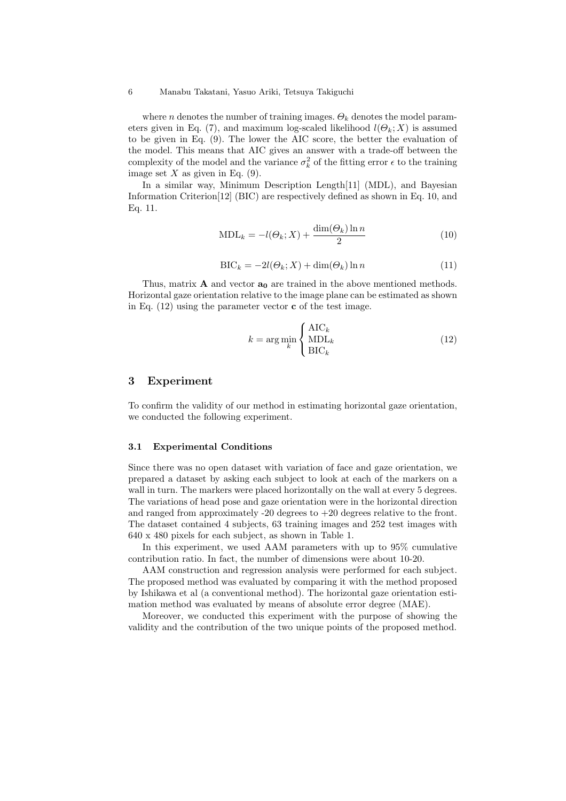#### 6 Manabu Takatani, Yasuo Ariki, Tetsuya Takiguchi

where *n* denotes the number of training images.  $\Theta_k$  denotes the model parameters given in Eq. (7), and maximum log-scaled likelihood  $l(\Theta_k; X)$  is assumed to be given in Eq. (9). The lower the AIC score, the better the evaluation of the model. This means that AIC gives an answer with a trade-off between the complexity of the model and the variance  $\sigma_k^2$  of the fitting error  $\epsilon$  to the training image set  $X$  as given in Eq.  $(9)$ .

In a similar way, Minimum Description Length[11] (MDL), and Bayesian Information Criterion[12] (BIC) are respectively defined as shown in Eq. 10, and Eq. 11.

$$
MDL_k = -l(\Theta_k; X) + \frac{\dim(\Theta_k) \ln n}{2}
$$
\n(10)

$$
BIC_k = -2l(\Theta_k; X) + \dim(\Theta_k) \ln n \tag{11}
$$

Thus, matrix  $\bf{A}$  and vector  $\bf{a_0}$  are trained in the above mentioned methods. Horizontal gaze orientation relative to the image plane can be estimated as shown in Eq. (12) using the parameter vector **c** of the test image.

$$
k = \arg\min_{k} \begin{cases} \text{AIC}_k \\ \text{MDL}_k \\ \text{BIC}_k \end{cases}
$$
 (12)

# **3 Experiment**

To confirm the validity of our method in estimating horizontal gaze orientation, we conducted the following experiment.

#### **3.1 Experimental Conditions**

Since there was no open dataset with variation of face and gaze orientation, we prepared a dataset by asking each subject to look at each of the markers on a wall in turn. The markers were placed horizontally on the wall at every 5 degrees. The variations of head pose and gaze orientation were in the horizontal direction and ranged from approximately  $-20$  degrees to  $+20$  degrees relative to the front. The dataset contained 4 subjects, 63 training images and 252 test images with 640 x 480 pixels for each subject, as shown in Table 1.

In this experiment, we used AAM parameters with up to 95% cumulative contribution ratio. In fact, the number of dimensions were about 10-20.

AAM construction and regression analysis were performed for each subject. The proposed method was evaluated by comparing it with the method proposed by Ishikawa et al (a conventional method). The horizontal gaze orientation estimation method was evaluated by means of absolute error degree (MAE).

Moreover, we conducted this experiment with the purpose of showing the validity and the contribution of the two unique points of the proposed method.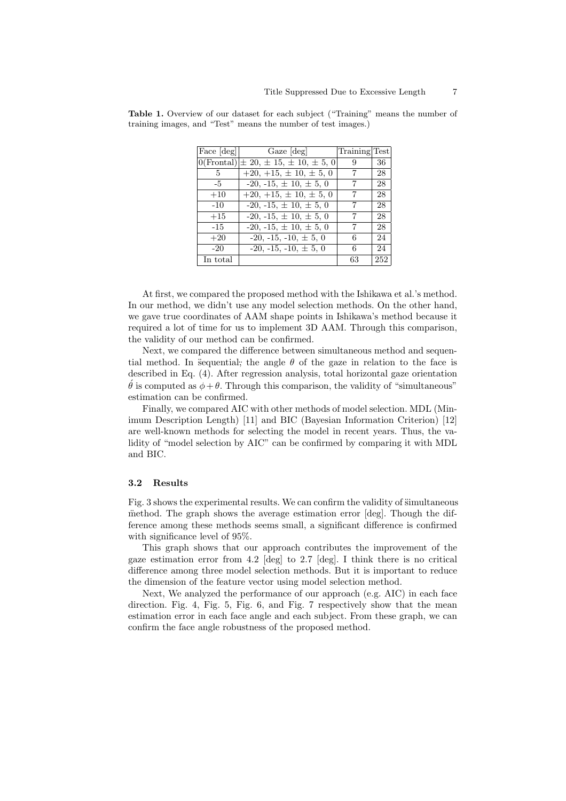| Face [deg] | Gaze $ \text{deg} $                      | Training Test |     |
|------------|------------------------------------------|---------------|-----|
| 0(Frontal) | $\pm$ 20, $\pm$ 15, $\pm$ 10, $\pm$ 5, 0 | 9             | 36  |
| 5          | $+20, +15, \pm 10, \pm 5, 0$             | 7             | 28  |
| -5         | $-20, -15, \pm 10, \pm 5, 0$             | 7             | 28  |
| $+10$      | $+20, +15, \pm 10, \pm 5, 0$             | 7             | 28  |
| $-10$      | $-20, -15, \pm 10, \pm 5, 0$             | 7             | 28  |
| $+15$      | $-20, -15, \pm 10, \pm 5, 0$             | -7            | 28  |
| -15        | $-20, -15, \pm 10, \pm 5, 0$             | 7             | 28  |
| $+20$      | $-20, -15, -10, \pm 5, 0$                | 6             | 24  |
| $-20$      | $-20, -15, -10, \pm 5, 0$                | 6             | 24  |
| In total   |                                          | 63            | 252 |

Table 1. Overview of our dataset for each subject ("Training" means the number of training images, and "Test" means the number of test images.)

At first, we compared the proposed method with the Ishikawa et al.'s method. In our method, we didn't use any model selection methods. On the other hand, we gave true coordinates of AAM shape points in Ishikawa's method because it required a lot of time for us to implement 3D AAM. Through this comparison, the validity of our method can be confirmed.

Next, we compared the difference between simultaneous method and sequential method. In sequential, the angle  $\theta$  of the gaze in relation to the face is described in Eq. (4). After regression analysis, total horizontal gaze orientation  $\dot{\theta}$  is computed as  $\phi + \theta$ . Through this comparison, the validity of "simultaneous" estimation can be confirmed.

Finally, we compared AIC with other methods of model selection. MDL (Minimum Description Length) [11] and BIC (Bayesian Information Criterion) [12] are well-known methods for selecting the model in recent years. Thus, the validity of "model selection by AIC" can be confirmed by comparing it with MDL and BIC.

## **3.2 Results**

Fig. 3 shows the experimental results. We can confirm the validity of simultaneous method. The graph shows the average estimation error [deg]. Though the difference among these methods seems small, a significant difference is confirmed with significance level of 95%.

This graph shows that our approach contributes the improvement of the gaze estimation error from 4.2 [deg] to 2.7 [deg]. I think there is no critical difference among three model selection methods. But it is important to reduce the dimension of the feature vector using model selection method.

Next, We analyzed the performance of our approach (e.g. AIC) in each face direction. Fig. 4, Fig. 5, Fig. 6, and Fig. 7 respectively show that the mean estimation error in each face angle and each subject. From these graph, we can confirm the face angle robustness of the proposed method.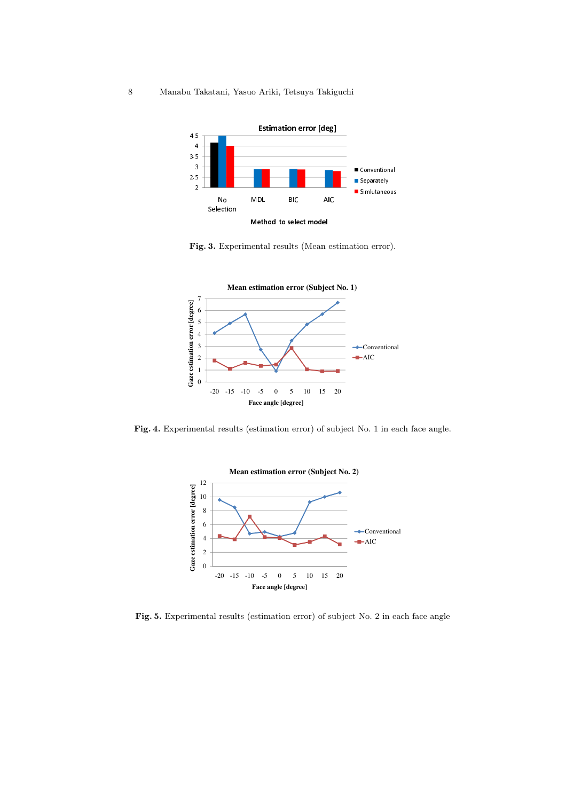

**Fig. 3.** Experimental results (Mean estimation error).



**Fig. 4.** Experimental results (estimation error) of subject No. 1 in each face angle.



**Fig. 5.** Experimental results (estimation error) of subject No. 2 in each face angle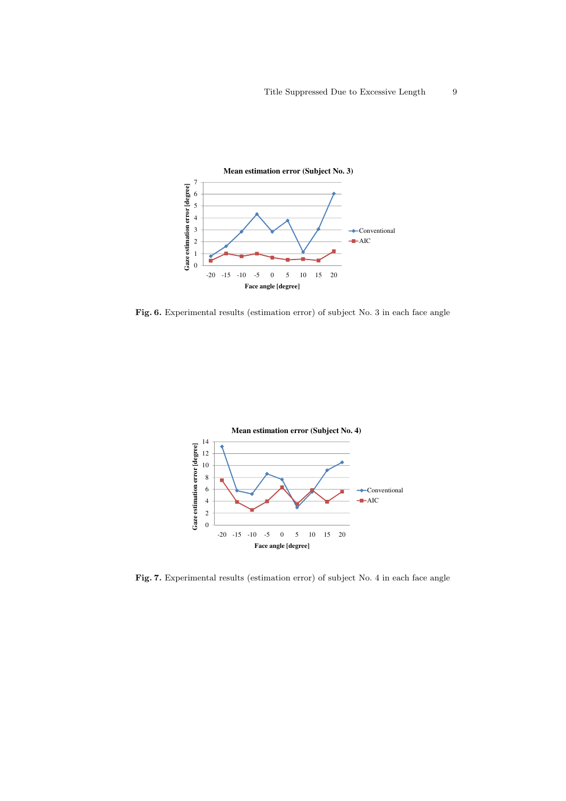

**Fig. 6.** Experimental results (estimation error) of subject No. 3 in each face angle



**Fig. 7.** Experimental results (estimation error) of subject No. 4 in each face angle